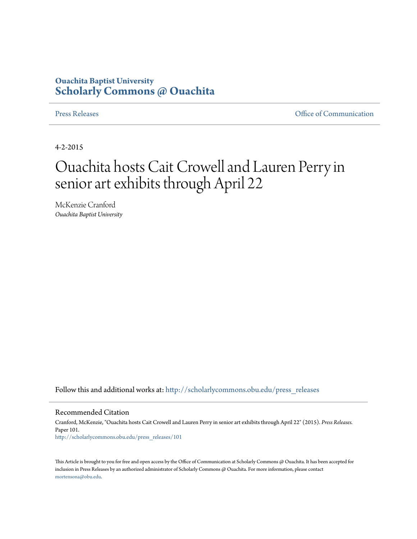## **Ouachita Baptist University [Scholarly Commons @ Ouachita](http://scholarlycommons.obu.edu?utm_source=scholarlycommons.obu.edu%2Fpress_releases%2F101&utm_medium=PDF&utm_campaign=PDFCoverPages)**

[Press Releases](http://scholarlycommons.obu.edu/press_releases?utm_source=scholarlycommons.obu.edu%2Fpress_releases%2F101&utm_medium=PDF&utm_campaign=PDFCoverPages) [Office of Communication](http://scholarlycommons.obu.edu/comm?utm_source=scholarlycommons.obu.edu%2Fpress_releases%2F101&utm_medium=PDF&utm_campaign=PDFCoverPages)

4-2-2015

## Ouachita hosts Cait Crowell and Lauren Perry in senior art exhibits through April 22

McKenzie Cranford *Ouachita Baptist University*

Follow this and additional works at: [http://scholarlycommons.obu.edu/press\\_releases](http://scholarlycommons.obu.edu/press_releases?utm_source=scholarlycommons.obu.edu%2Fpress_releases%2F101&utm_medium=PDF&utm_campaign=PDFCoverPages)

## Recommended Citation

Cranford, McKenzie, "Ouachita hosts Cait Crowell and Lauren Perry in senior art exhibits through April 22" (2015). *Press Releases.* Paper 101. [http://scholarlycommons.obu.edu/press\\_releases/101](http://scholarlycommons.obu.edu/press_releases/101?utm_source=scholarlycommons.obu.edu%2Fpress_releases%2F101&utm_medium=PDF&utm_campaign=PDFCoverPages)

This Article is brought to you for free and open access by the Office of Communication at Scholarly Commons @ Ouachita. It has been accepted for inclusion in Press Releases by an authorized administrator of Scholarly Commons @ Ouachita. For more information, please contact [mortensona@obu.edu](mailto:mortensona@obu.edu).